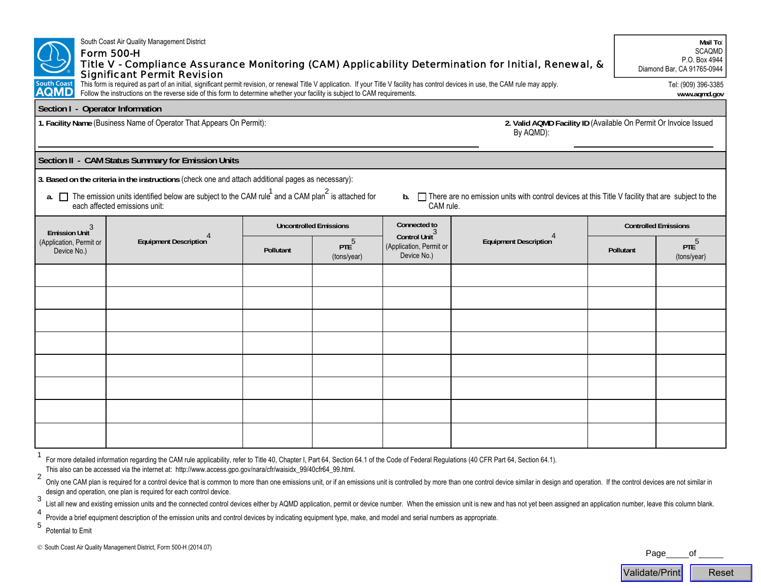|                                                                                                                                                                                                                                                                                                                                                     | South Coast Air Quality Management District<br><b>Form 500-H</b><br><b>Significant Permit Revision</b> |                               |                        |                                                                               | Title V - Compliance Assurance Monitoring (CAM) Applicability Determination for Initial, Renewal, & |                             | Mail To:<br>SCAQMD<br>P.O. Box 4944<br>Diamond Bar, CA 91765-0944 |  |
|-----------------------------------------------------------------------------------------------------------------------------------------------------------------------------------------------------------------------------------------------------------------------------------------------------------------------------------------------------|--------------------------------------------------------------------------------------------------------|-------------------------------|------------------------|-------------------------------------------------------------------------------|-----------------------------------------------------------------------------------------------------|-----------------------------|-------------------------------------------------------------------|--|
| This form is required as part of an initial, significant permit revision, or renewal Title V application. If your Title V facility has control devices in use, the CAM rule may apply.<br>South Coast<br><b>AQMD</b><br>Follow the instructions on the reverse side of this form to determine whether your facility is subject to CAM requirements. |                                                                                                        |                               |                        |                                                                               |                                                                                                     |                             | Tel: (909) 396-3385<br>www.aqmd.gov                               |  |
| Section I - Operator Information                                                                                                                                                                                                                                                                                                                    |                                                                                                        |                               |                        |                                                                               |                                                                                                     |                             |                                                                   |  |
| 1. Facility Name (Business Name of Operator That Appears On Permit):                                                                                                                                                                                                                                                                                |                                                                                                        |                               |                        | 2. Valid AQMD Facility ID (Available On Permit Or Invoice Issued<br>By AQMD): |                                                                                                     |                             |                                                                   |  |
| Section II - CAM Status Summary for Emission Units                                                                                                                                                                                                                                                                                                  |                                                                                                        |                               |                        |                                                                               |                                                                                                     |                             |                                                                   |  |
| 3. Based on the criteria in the instructions (check one and attach additional pages as necessary):                                                                                                                                                                                                                                                  |                                                                                                        |                               |                        |                                                                               |                                                                                                     |                             |                                                                   |  |
| a. $\square$ The emission units identified below are subject to the CAM rule <sup>1</sup> and a CAM plan <sup>2</sup> is attached for<br>b. There are no emission units with control devices at this Title V facility that are subject to the<br>each affected emissions unit:<br>CAM rule.                                                         |                                                                                                        |                               |                        |                                                                               |                                                                                                     |                             |                                                                   |  |
| Emission Unit <sup>3</sup><br>(Application, Permit or<br>Device No.)                                                                                                                                                                                                                                                                                | Equipment Description                                                                                  | <b>Uncontrolled Emissions</b> |                        | Connected to                                                                  |                                                                                                     | <b>Controlled Emissions</b> |                                                                   |  |
|                                                                                                                                                                                                                                                                                                                                                     |                                                                                                        | Pollutant                     | $PTE^5$<br>(tons/year) | Control Unit <sup>3</sup><br>(Application, Permit or<br>Device No.)           | Equipment Description                                                                               | Pollutant                   | PTE <sup>5</sup><br>(tons/year)                                   |  |
|                                                                                                                                                                                                                                                                                                                                                     |                                                                                                        |                               |                        |                                                                               |                                                                                                     |                             |                                                                   |  |
|                                                                                                                                                                                                                                                                                                                                                     |                                                                                                        |                               |                        |                                                                               |                                                                                                     |                             |                                                                   |  |
|                                                                                                                                                                                                                                                                                                                                                     |                                                                                                        |                               |                        |                                                                               |                                                                                                     |                             |                                                                   |  |
|                                                                                                                                                                                                                                                                                                                                                     |                                                                                                        |                               |                        |                                                                               |                                                                                                     |                             |                                                                   |  |
|                                                                                                                                                                                                                                                                                                                                                     |                                                                                                        |                               |                        |                                                                               |                                                                                                     |                             |                                                                   |  |
|                                                                                                                                                                                                                                                                                                                                                     |                                                                                                        |                               |                        |                                                                               |                                                                                                     |                             |                                                                   |  |
|                                                                                                                                                                                                                                                                                                                                                     |                                                                                                        |                               |                        |                                                                               |                                                                                                     |                             |                                                                   |  |
|                                                                                                                                                                                                                                                                                                                                                     |                                                                                                        |                               |                        |                                                                               |                                                                                                     |                             |                                                                   |  |
|                                                                                                                                                                                                                                                                                                                                                     |                                                                                                        |                               |                        |                                                                               |                                                                                                     |                             |                                                                   |  |

For more detailed information regarding the CAM rule applicability, refer to Title 40, Chapter I, Part 64, Section 64.1 of the Code of Federal Regulations (40 CFR Part 64, Section 64.1).

This also can be accessed via the internet at: [http://www.access.gpo.gov/nara/cfr/waisidx\\_99/40cfr64\\_99.html](http://www.access.gpo.gov/nara/cfr/waisidx_99/40cfr64_99.html).

2Only one CAM plan is required for a control device that is common to more than one emissions unit, or if an emissions unit is controlled by more than one control device similar in design and operation. If the control devic design and operation, one plan is required for each control device. 3

List all new and existing emission units and the connected control devices either by AQMD application, permit or device number. When the emission unit is new and has not yet been assigned an application number, leave this

Validate/Print

Reset

4Provide a brief equipment description of the emission units and control devices by indicating equipment type, make, and model and serial numbers as appropriate.

5Potential to Emit

© South Coast Air Quality Management District, Form 500-H (2014.07) Page \_\_\_\_\_\_\_\_ Of